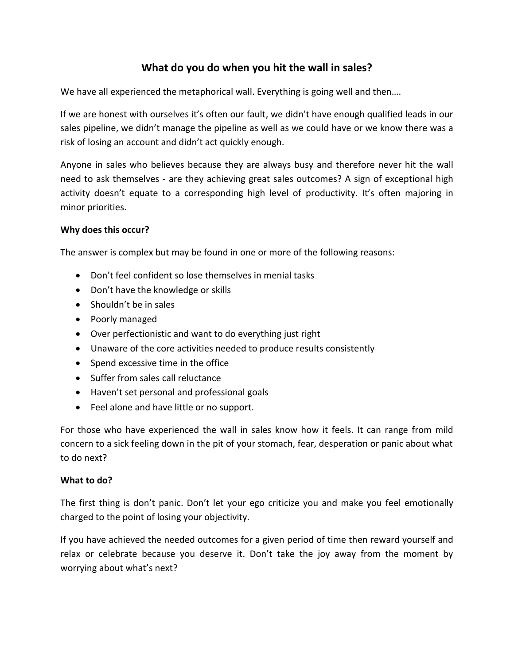## **What do you do when you hit the wall in sales?**

We have all experienced the metaphorical wall. Everything is going well and then....

If we are honest with ourselves it's often our fault, we didn't have enough qualified leads in our sales pipeline, we didn't manage the pipeline as well as we could have or we know there was a risk of losing an account and didn't act quickly enough.

Anyone in sales who believes because they are always busy and therefore never hit the wall need to ask themselves - are they achieving great sales outcomes? A sign of exceptional high activity doesn't equate to a corresponding high level of productivity. It's often majoring in minor priorities.

## **Why does this occur?**

The answer is complex but may be found in one or more of the following reasons:

- Don't feel confident so lose themselves in menial tasks
- Don't have the knowledge or skills
- Shouldn't be in sales
- Poorly managed
- Over perfectionistic and want to do everything just right
- Unaware of the core activities needed to produce results consistently
- Spend excessive time in the office
- Suffer from sales call reluctance
- Haven't set personal and professional goals
- Feel alone and have little or no support.

For those who have experienced the wall in sales know how it feels. It can range from mild concern to a sick feeling down in the pit of your stomach, fear, desperation or panic about what to do next?

## **What to do?**

The first thing is don't panic. Don't let your ego criticize you and make you feel emotionally charged to the point of losing your objectivity.

If you have achieved the needed outcomes for a given period of time then reward yourself and relax or celebrate because you deserve it. Don't take the joy away from the moment by worrying about what's next?